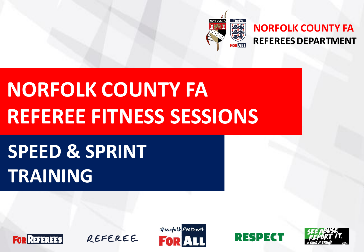

### **NORFOLK COUNTY FA REFEREES DEPARTMENT**

# **NORFOLK COUNTY FA REFEREE FITNESS SESSIONS**

# **SPEED & SPRINT TRAINING**







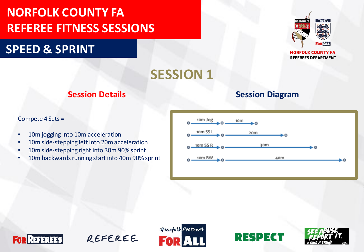**SPEED & SPRINT**



**REFEREES DEPARTMENT** 

**SESSION 1**

#### Compete 4 Sets =

- 10m jogging into 10m acceleration
- 10m side-stepping left into 20m acceleration
- 10m side-stepping right into 30m 90% sprint
- 10m backwards running start into 40m 90% sprint

### **Session Details Session Diagram**









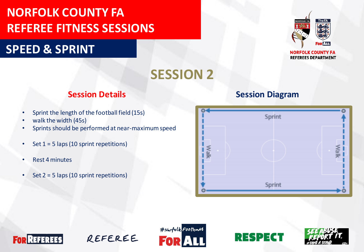### **SPEED & SPRINT**



**REFEREES DEPARTMENT** 

### **SESSION 2**

### **Session Details Session Diagram**

- Sprint the length of the football field (15s)
- walk the width (45s)
- Sprints should be performed at near-maximum speed
- Set 1 = 5 laps (10 sprint repetitions)
- Rest 4 minutes
- Set  $2 = 5$  laps (10 sprint repetitions)









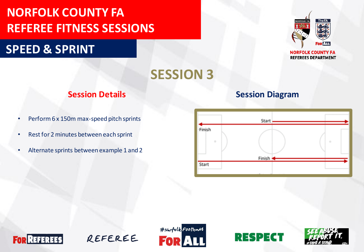### **SPEED & SPRINT**



**REFEREES DEPARTMENT** 

### **SESSION 3**

- Perform 6 x 150m max-speed pitch sprints
- Rest for 2 minutes between each sprint
- Alternate sprints between example 1 and 2

#### **Session Details Session Diagram**









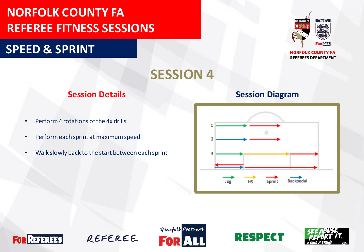### **SPEED & SPRINT**



**REFEREES DEPARTMENT** 

### **SESSION 4**

- Perform 4 rotations of the 4x drills
- Perform each sprint at maximum speed
- Walk slowly back to the start between each sprint

#### **Session Details Session Diagram**